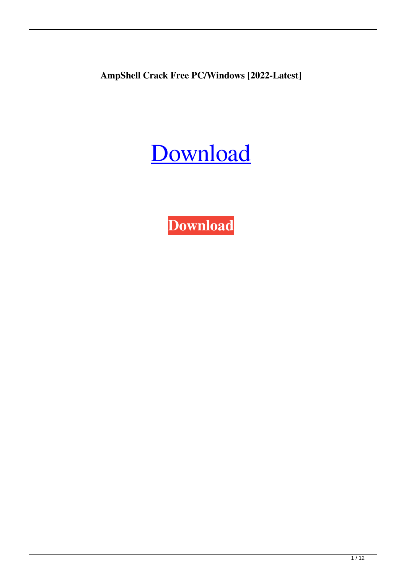**AmpShell Crack Free PC/Windows [2022-Latest]**



**[Download](http://evacdir.com/gunning/cocain/hydra.rated?QW1wU2hlbGwQW1=ZG93bmxvYWR8UUk3TjI5aFozeDhNVFkxTkRVeU1qRXhNSHg4TWpVNU1IeDhLRTBwSUZkdmNtUndjbVZ6Y3lCYldFMU1VbEJESUZZeUlGQkVSbDA=kilgour=permitted.serotonins)**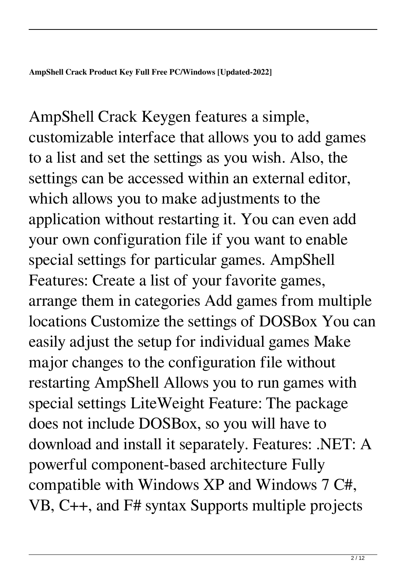AmpShell Crack Keygen features a simple, customizable interface that allows you to add games to a list and set the settings as you wish. Also, the settings can be accessed within an external editor, which allows you to make adjustments to the application without restarting it. You can even add your own configuration file if you want to enable special settings for particular games. AmpShell Features: Create a list of your favorite games, arrange them in categories Add games from multiple locations Customize the settings of DOSBox You can easily adjust the setup for individual games Make major changes to the configuration file without restarting AmpShell Allows you to run games with special settings LiteWeight Feature: The package does not include DOSBox, so you will have to download and install it separately. Features: .NET: A powerful component-based architecture Fully compatible with Windows XP and Windows 7 C#, VB, C++, and F# syntax Supports multiple projects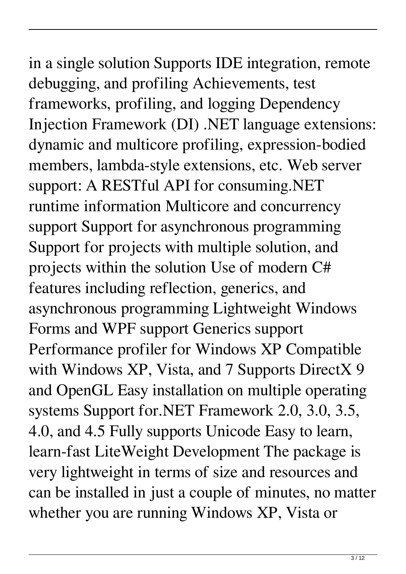in a single solution Supports IDE integration, remote debugging, and profiling Achievements, test frameworks, profiling, and logging Dependency Injection Framework (DI) .NET language extensions: dynamic and multicore profiling, expression-bodied members, lambda-style extensions, etc. Web server support: A RESTful API for consuming.NET runtime information Multicore and concurrency support Support for asynchronous programming Support for projects with multiple solution, and projects within the solution Use of modern C# features including reflection, generics, and asynchronous programming Lightweight Windows Forms and WPF support Generics support Performance profiler for Windows XP Compatible with Windows XP, Vista, and 7 Supports DirectX 9 and OpenGL Easy installation on multiple operating systems Support for.NET Framework 2.0, 3.0, 3.5, 4.0, and 4.5 Fully supports Unicode Easy to learn, learn-fast LiteWeight Development The package is very lightweight in terms of size and resources and can be installed in just a couple of minutes, no matter

whether you are running Windows XP, Vista or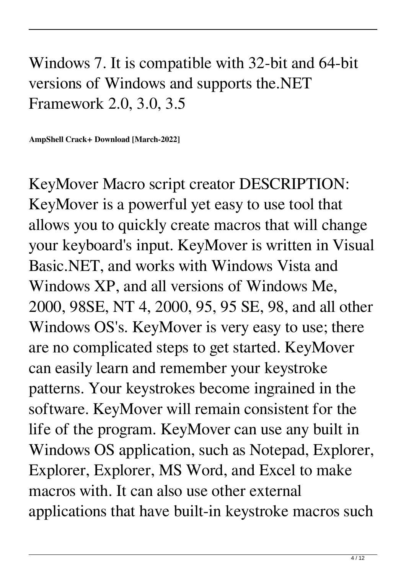## Windows 7. It is compatible with 32-bit and 64-bit versions of Windows and supports the.NET Framework 2.0, 3.0, 3.5

**AmpShell Crack+ Download [March-2022]**

KeyMover Macro script creator DESCRIPTION: KeyMover is a powerful yet easy to use tool that allows you to quickly create macros that will change your keyboard's input. KeyMover is written in Visual Basic.NET, and works with Windows Vista and Windows XP, and all versions of Windows Me, 2000, 98SE, NT 4, 2000, 95, 95 SE, 98, and all other Windows OS's. KeyMover is very easy to use; there are no complicated steps to get started. KeyMover can easily learn and remember your keystroke patterns. Your keystrokes become ingrained in the software. KeyMover will remain consistent for the life of the program. KeyMover can use any built in Windows OS application, such as Notepad, Explorer, Explorer, Explorer, MS Word, and Excel to make macros with. It can also use other external applications that have built-in keystroke macros such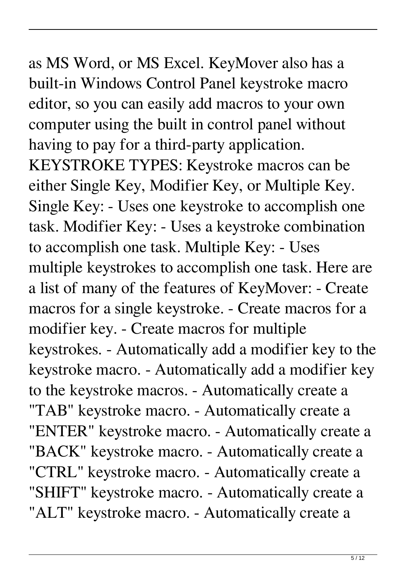as MS Word, or MS Excel. KeyMover also has a built-in Windows Control Panel keystroke macro editor, so you can easily add macros to your own computer using the built in control panel without having to pay for a third-party application. KEYSTROKE TYPES: Keystroke macros can be either Single Key, Modifier Key, or Multiple Key. Single Key: - Uses one keystroke to accomplish one task. Modifier Key: - Uses a keystroke combination to accomplish one task. Multiple Key: - Uses multiple keystrokes to accomplish one task. Here are a list of many of the features of KeyMover: - Create macros for a single keystroke. - Create macros for a modifier key. - Create macros for multiple keystrokes. - Automatically add a modifier key to the keystroke macro. - Automatically add a modifier key to the keystroke macros. - Automatically create a "TAB" keystroke macro. - Automatically create a "ENTER" keystroke macro. - Automatically create a "BACK" keystroke macro. - Automatically create a "CTRL" keystroke macro. - Automatically create a "SHIFT" keystroke macro. - Automatically create a "ALT" keystroke macro. - Automatically create a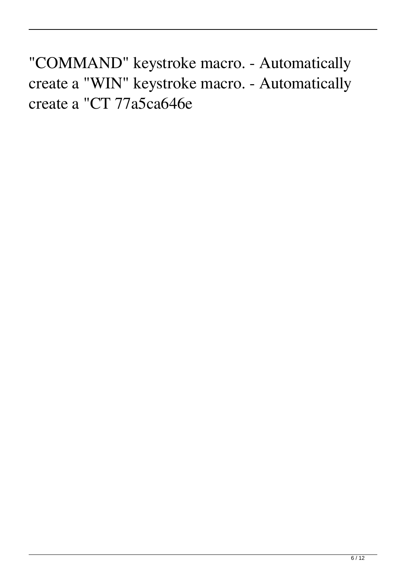"COMMAND" keystroke macro. - Automatically create a "WIN" keystroke macro. - Automatically create a "CT 77a5ca646e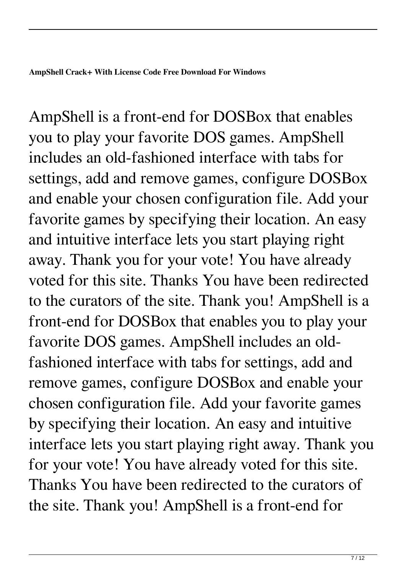AmpShell is a front-end for DOSBox that enables you to play your favorite DOS games. AmpShell includes an old-fashioned interface with tabs for settings, add and remove games, configure DOSBox and enable your chosen configuration file. Add your favorite games by specifying their location. An easy and intuitive interface lets you start playing right away. Thank you for your vote! You have already voted for this site. Thanks You have been redirected to the curators of the site. Thank you! AmpShell is a front-end for DOSBox that enables you to play your favorite DOS games. AmpShell includes an oldfashioned interface with tabs for settings, add and remove games, configure DOSBox and enable your chosen configuration file. Add your favorite games by specifying their location. An easy and intuitive interface lets you start playing right away. Thank you for your vote! You have already voted for this site. Thanks You have been redirected to the curators of the site. Thank you! AmpShell is a front-end for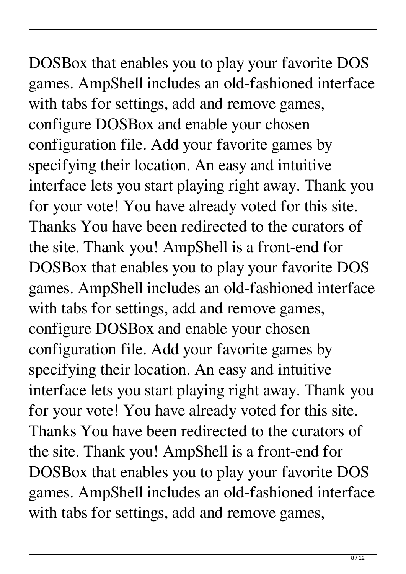DOSBox that enables you to play your favorite DOS games. AmpShell includes an old-fashioned interface with tabs for settings, add and remove games, configure DOSBox and enable your chosen configuration file. Add your favorite games by specifying their location. An easy and intuitive interface lets you start playing right away. Thank you for your vote! You have already voted for this site. Thanks You have been redirected to the curators of the site. Thank you! AmpShell is a front-end for DOSBox that enables you to play your favorite DOS games. AmpShell includes an old-fashioned interface with tabs for settings, add and remove games, configure DOSBox and enable your chosen configuration file. Add your favorite games by specifying their location. An easy and intuitive interface lets you start playing right away. Thank you for your vote! You have already voted for this site. Thanks You have been redirected to the curators of the site. Thank you! AmpShell is a front-end for DOSBox that enables you to play your favorite DOS games. AmpShell includes an old-fashioned interface with tabs for settings, add and remove games,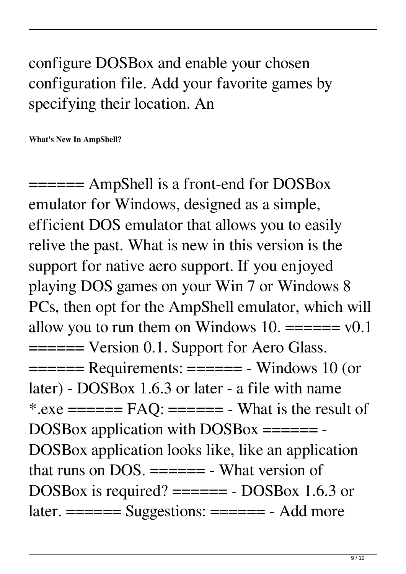## configure DOSBox and enable your chosen configuration file. Add your favorite games by specifying their location. An

**What's New In AmpShell?**

====== AmpShell is a front-end for DOSBox emulator for Windows, designed as a simple, efficient DOS emulator that allows you to easily relive the past. What is new in this version is the support for native aero support. If you enjoyed playing DOS games on your Win 7 or Windows 8 PCs, then opt for the AmpShell emulator, which will allow you to run them on Windows 10.  $=\equiv \equiv \equiv v0.1$ ====== Version 0.1. Support for Aero Glass.  $==== =$  Requirements:  $== == =$  - Windows 10 (or later) - DOSBox 1.6.3 or later - a file with name \*.exe  $==== = FAQ$ :  $== == = - What is the result of$ DOSBox application with DOSBox ======= -DOSBox application looks like, like an application that runs on DOS.  $====$  - What version of DOSBox is required? ====== - DOSBox 1.6.3 or later. ====== Suggestions: ====== - Add more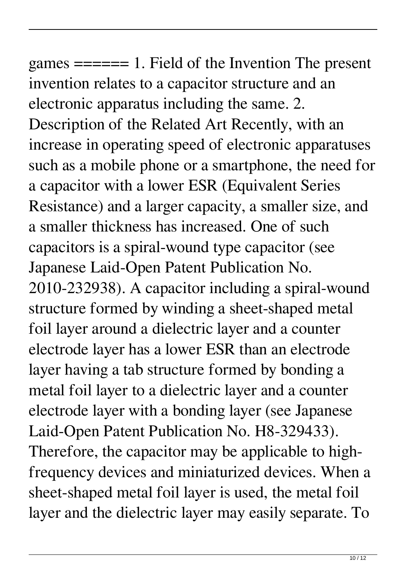games ====== 1. Field of the Invention The present invention relates to a capacitor structure and an electronic apparatus including the same. 2. Description of the Related Art Recently, with an increase in operating speed of electronic apparatuses such as a mobile phone or a smartphone, the need for a capacitor with a lower ESR (Equivalent Series Resistance) and a larger capacity, a smaller size, and a smaller thickness has increased. One of such capacitors is a spiral-wound type capacitor (see Japanese Laid-Open Patent Publication No. 2010-232938). A capacitor including a spiral-wound structure formed by winding a sheet-shaped metal foil layer around a dielectric layer and a counter electrode layer has a lower ESR than an electrode layer having a tab structure formed by bonding a metal foil layer to a dielectric layer and a counter electrode layer with a bonding layer (see Japanese Laid-Open Patent Publication No. H8-329433). Therefore, the capacitor may be applicable to highfrequency devices and miniaturized devices. When a sheet-shaped metal foil layer is used, the metal foil layer and the dielectric layer may easily separate. To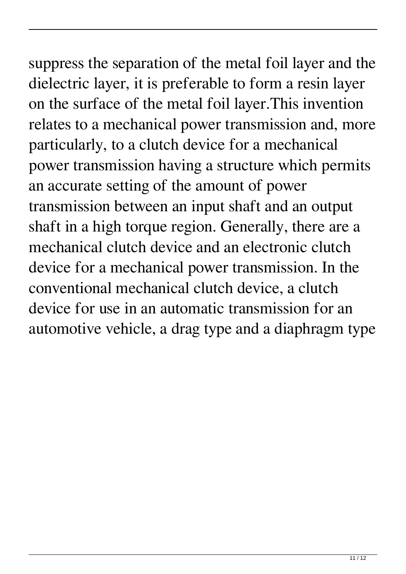## suppress the separation of the metal foil layer and the

dielectric layer, it is preferable to form a resin layer on the surface of the metal foil layer.This invention relates to a mechanical power transmission and, more particularly, to a clutch device for a mechanical power transmission having a structure which permits an accurate setting of the amount of power transmission between an input shaft and an output shaft in a high torque region. Generally, there are a mechanical clutch device and an electronic clutch device for a mechanical power transmission. In the conventional mechanical clutch device, a clutch device for use in an automatic transmission for an automotive vehicle, a drag type and a diaphragm type